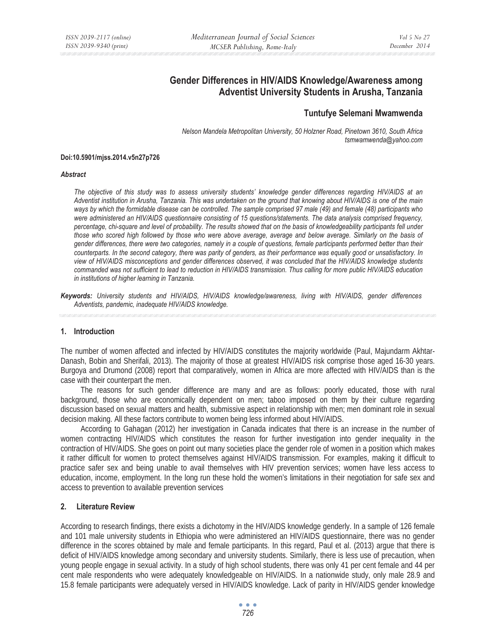# **Gender Differences in HIV/AIDS Knowledge/Awareness among Adventist University Students in Arusha, Tanzania**

## **Tuntufye Selemani Mwamwenda**

*Nelson Mandela Metropolitan University, 50 Holzner Road, Pinetown 3610, South Africa tsmwamwenda@yahoo.com* 

#### **Doi:10.5901/mjss.2014.v5n27p726**

#### *Abstract*

*The objective of this study was to assess university students' knowledge gender differences regarding HIV/AIDS at an Adventist institution in Arusha, Tanzania. This was undertaken on the ground that knowing about HIV/AIDS is one of the main ways by which the formidable disease can be controlled. The sample comprised 97 male (49) and female (48) participants who were administered an HIV/AIDS questionnaire consisting of 15 questions/statements. The data analysis comprised frequency, percentage, chi-square and level of probability. The results showed that on the basis of knowledgeability participants fell under those who scored high followed by those who were above average, average and below average. Similarly on the basis of gender differences, there were two categories, namely in a couple of questions, female participants performed better than their counterparts. In the second category, there was parity of genders, as their performance was equally good or unsatisfactory. In view of HIV/AIDS misconceptions and gender differences observed, it was concluded that the HIV/AIDS knowledge students commanded was not sufficient to lead to reduction in HIV/AIDS transmission. Thus calling for more public HIV/AIDS education in institutions of higher learning in Tanzania.* 

*Keywords: University students and HIV/AIDS, HIV/AIDS knowledge/awareness, living with HIV/AIDS, gender differences Adventists, pandemic, inadequate HIV/AIDS knowledge.* 

### **1. Introduction**

The number of women affected and infected by HIV/AIDS constitutes the majority worldwide (Paul, Majundarm Akhtar-Danash, Bobin and Sherifali, 2013). The majority of those at greatest HIV/AIDS risk comprise those aged 16-30 years. Burgoya and Drumond (2008) report that comparatively, women in Africa are more affected with HIV/AIDS than is the case with their counterpart the men.

The reasons for such gender difference are many and are as follows: poorly educated, those with rural background, those who are economically dependent on men; taboo imposed on them by their culture regarding discussion based on sexual matters and health, submissive aspect in relationship with men; men dominant role in sexual decision making. All these factors contribute to women being less informed about HIV/AIDS.

According to Gahagan (2012) her investigation in Canada indicates that there is an increase in the number of women contracting HIV/AIDS which constitutes the reason for further investigation into gender inequality in the contraction of HIV/AIDS. She goes on point out many societies place the gender role of women in a position which makes it rather difficult for women to protect themselves against HIV/AIDS transmission. For examples, making it difficult to practice safer sex and being unable to avail themselves with HIV prevention services; women have less access to education, income, employment. In the long run these hold the women's limitations in their negotiation for safe sex and access to prevention to available prevention services

## **2. Literature Review**

According to research findings, there exists a dichotomy in the HIV/AIDS knowledge genderly. In a sample of 126 female and 101 male university students in Ethiopia who were administered an HIV/AIDS questionnaire, there was no gender difference in the scores obtained by male and female participants. In this regard, Paul et al. (2013) argue that there is deficit of HIV/AIDS knowledge among secondary and university students. Similarly, there is less use of precaution, when young people engage in sexual activity. In a study of high school students, there was only 41 per cent female and 44 per cent male respondents who were adequately knowledgeable on HIV/AIDS. In a nationwide study, only male 28.9 and 15.8 female participants were adequately versed in HIV/AIDS knowledge. Lack of parity in HIV/AIDS gender knowledge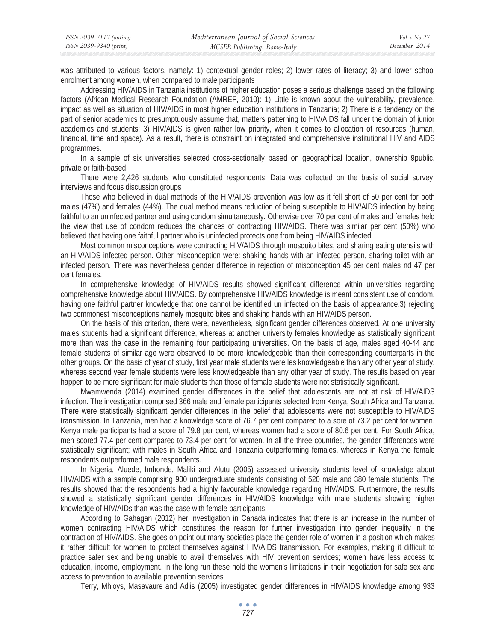was attributed to various factors, namely: 1) contextual gender roles; 2) lower rates of literacy; 3) and lower school enrolment among women, when compared to male participants

Addressing HIV/AIDS in Tanzania institutions of higher education poses a serious challenge based on the following factors (African Medical Research Foundation (AMREF, 2010): 1) Little is known about the vulnerability, prevalence, impact as well as situation of HIV/AIDS in most higher education institutions in Tanzania; 2) There is a tendency on the part of senior academics to presumptuously assume that, matters patterning to HIV/AIDS fall under the domain of junior academics and students; 3) HIV/AIDS is given rather low priority, when it comes to allocation of resources (human, financial, time and space). As a result, there is constraint on integrated and comprehensive institutional HIV and AIDS programmes.

In a sample of six universities selected cross-sectionally based on geographical location, ownership 9public, private or faith-based.

There were 2,426 students who constituted respondents. Data was collected on the basis of social survey, interviews and focus discussion groups

Those who believed in dual methods of the HIV/AIDS prevention was low as it fell short of 50 per cent for both males (47%) and females (44%). The dual method means reduction of being susceptible to HIV/AIDS infection by being faithful to an uninfected partner and using condom simultaneously. Otherwise over 70 per cent of males and females held the view that use of condom reduces the chances of contracting HIV/AIDS. There was similar per cent (50%) who believed that having one faithful partner who is uninfected protects one from being HIV/AIDS infected.

Most common misconceptions were contracting HIV/AIDS through mosquito bites, and sharing eating utensils with an HIV/AIDS infected person. Other misconception were: shaking hands with an infected person, sharing toilet with an infected person. There was nevertheless gender difference in rejection of misconception 45 per cent males nd 47 per cent females.

In comprehensive knowledge of HIV/AIDS results showed significant difference within universities regarding comprehensive knowledge about HIV/AIDS. By comprehensive HIV/AIDS knowledge is meant consistent use of condom, having one faithful partner knowledge that one cannot be identified un infected on the basis of appearance,3) rejecting two commonest misconceptions namely mosquito bites and shaking hands with an HIV/AIDS person.

On the basis of this criterion, there were, nevertheless, significant gender differences observed. At one university males students had a significant difference, whereas at another university females knowledge as statistically significant more than was the case in the remaining four participating universities. On the basis of age, males aged 40-44 and female students of similar age were observed to be more knowledgeable than their corresponding counterparts in the other groups. On the basis of year of study, first year male students were les knowledgeable than any other year of study. whereas second year female students were less knowledgeable than any other year of study. The results based on year happen to be more significant for male students than those of female students were not statistically significant.

Mwamwenda (2014) examined gender differences in the belief that adolescents are not at risk of HIV/AIDS infection. The investigation comprised 366 male and female participants selected from Kenya, South Africa and Tanzania. There were statistically significant gender differences in the belief that adolescents were not susceptible to HIV/AIDS transmission. In Tanzania, men had a knowledge score of 76.7 per cent compared to a sore of 73.2 per cent for women. Kenya male participants had a score of 79.8 per cent, whereas women had a score of 80.6 per cent. For South Africa, men scored 77.4 per cent compared to 73.4 per cent for women. In all the three countries, the gender differences were statistically significant; with males in South Africa and Tanzania outperforming females, whereas in Kenya the female respondents outperformed male respondents.

In Nigeria, Aluede, Imhonde, Maliki and Alutu (2005) assessed university students level of knowledge about HIV/AIDS with a sample comprising 900 undergraduate students consisting of 520 male and 380 female students. The results showed that the respondents had a highly favourable knowledge regarding HIV/AIDS. Furthermore, the results showed a statistically significant gender differences in HIV/AIDS knowledge with male students showing higher knowledge of HIV/AIDs than was the case with female participants.

According to Gahagan (2012) her investigation in Canada indicates that there is an increase in the number of women contracting HIV/AIDS which constitutes the reason for further investigation into gender inequality in the contraction of HIV/AIDS. She goes on point out many societies place the gender role of women in a position which makes it rather difficult for women to protect themselves against HIV/AIDS transmission. For examples, making it difficult to practice safer sex and being unable to avail themselves with HIV prevention services; women have less access to education, income, employment. In the long run these hold the women's limitations in their negotiation for safe sex and access to prevention to available prevention services

Terry, Mhloys, Masavaure and Adlis (2005) investigated gender differences in HIV/AIDS knowledge among 933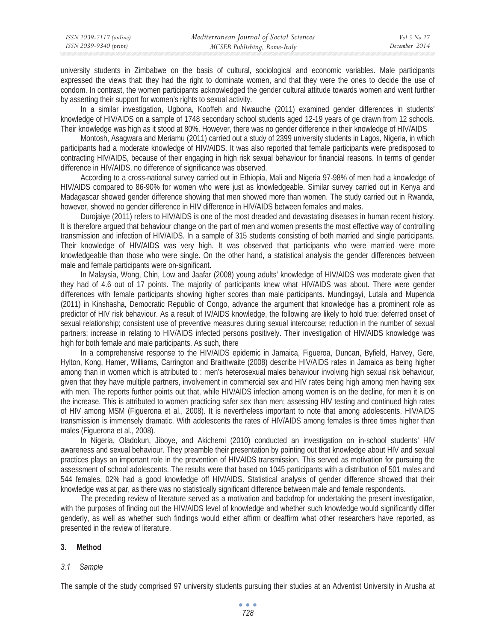| ISSN 2039-2117 (online) | Mediterranean Journal of Social Sciences | Vol 5 No 27   |
|-------------------------|------------------------------------------|---------------|
| ISSN 2039-9340 (print)  | MCSER Publishing, Rome-Italy             | December 2014 |

university students in Zimbabwe on the basis of cultural, sociological and economic variables. Male participants expressed the views that: they had the right to dominate women, and that they were the ones to decide the use of condom. In contrast, the women participants acknowledged the gender cultural attitude towards women and went further by asserting their support for women's rights to sexual activity.

In a similar investigation, Ugbona, Kooffeh and Nwauche (2011) examined gender differences in students' knowledge of HIV/AIDS on a sample of 1748 secondary school students aged 12-19 years of ge drawn from 12 schools. Their knowledge was high as it stood at 80%. However, there was no gender difference in their knowledge of HIV/AIDS

Montosh, Asagwara and Meriamu (2011) carried out a study of 2399 university students in Lagos, Nigeria, in which participants had a moderate knowledge of HIV/AIDS. It was also reported that female participants were predisposed to contracting HIV/AIDS, because of their engaging in high risk sexual behaviour for financial reasons. In terms of gender difference in HIV/AIDS, no difference of significance was observed.

According to a cross-national survey carried out in Ethiopia, Mali and Nigeria 97-98% of men had a knowledge of HIV/AIDS compared to 86-90% for women who were just as knowledgeable. Similar survey carried out in Kenya and Madagascar showed gender difference showing that men showed more than women. The study carried out in Rwanda, however, showed no gender difference in HIV difference in HIV/AIDS between females and males.

Durojaiye (2011) refers to HIV/AIDS is one of the most dreaded and devastating diseases in human recent history. It is therefore argued that behaviour change on the part of men and women presents the most effective way of controlling transmission and infection of HIV/AIDS. In a sample of 315 students consisting of both married and single participants. Their knowledge of HIV/AIDS was very high. It was observed that participants who were married were more knowledgeable than those who were single. On the other hand, a statistical analysis the gender differences between male and female participants were on-significant.

In Malaysia, Wong, Chin, Low and Jaafar (2008) young adults' knowledge of HIV/AIDS was moderate given that they had of 4.6 out of 17 points. The majority of participants knew what HIV/AIDS was about. There were gender differences with female participants showing higher scores than male participants. Mundingayi, Lutala and Mupenda (2011) in Kinshasha, Democratic Republic of Congo, advance the argument that knowledge has a prominent role as predictor of HIV risk behaviour. As a result of IV/AIDS knowledge, the following are likely to hold true: deferred onset of sexual relationship; consistent use of preventive measures during sexual intercourse; reduction in the number of sexual partners; increase in relating to HIV/AIDS infected persons positively. Their investigation of HIV/AIDS knowledge was high for both female and male participants. As such, there

In a comprehensive response to the HIV/AIDS epidemic in Jamaica, Figueroa, Duncan, Byfield, Harvey, Gere, Hylton, Kong, Hamer, Williams, Carrington and Braithwaite (2008) describe HIV/AIDS rates in Jamaica as being higher among than in women which is attributed to : men's heterosexual males behaviour involving high sexual risk behaviour, given that they have multiple partners, involvement in commercial sex and HIV rates being high among men having sex with men. The reports further points out that, while HIV/AIDS infection among women is on the decline, for men it is on the increase. This is attributed to women practicing safer sex than men; assessing HIV testing and continued high rates of HIV among MSM (Figuerona et al., 2008). It is nevertheless important to note that among adolescents, HIV/AIDS transmission is immensely dramatic. With adolescents the rates of HIV/AIDS among females is three times higher than males (Figuerona et al., 2008).

In Nigeria, Oladokun, Jiboye, and Akichemi (2010) conducted an investigation on in-school students' HIV awareness and sexual behaviour. They preamble their presentation by pointing out that knowledge about HIV and sexual practices plays an important role in the prevention of HIVAIDS transmission. This served as motivation for pursuing the assessment of school adolescents. The results were that based on 1045 participants with a distribution of 501 males and 544 females, 02% had a good knowledge off HIV/AIDS. Statistical analysis of gender difference showed that their knowledge was at par, as there was no statistically significant difference between male and female respondents.

The preceding review of literature served as a motivation and backdrop for undertaking the present investigation, with the purposes of finding out the HIV/AIDS level of knowledge and whether such knowledge would significantly differ genderly, as well as whether such findings would either affirm or deaffirm what other researchers have reported, as presented in the review of literature.

### **3. Method**

#### *3.1 Sample*

The sample of the study comprised 97 university students pursuing their studies at an Adventist University in Arusha at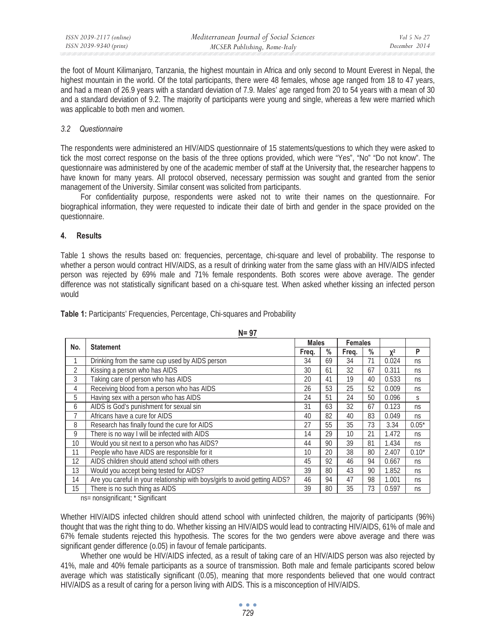the foot of Mount Kilimanjaro, Tanzania, the highest mountain in Africa and only second to Mount Everest in Nepal, the highest mountain in the world. Of the total participants, there were 48 females, whose age ranged from 18 to 47 years, and had a mean of 26.9 years with a standard deviation of 7.9. Males' age ranged from 20 to 54 years with a mean of 30 and a standard deviation of 9.2. The majority of participants were young and single, whereas a few were married which was applicable to both men and women.

## *3.2 Questionnaire*

The respondents were administered an HIV/AIDS questionnaire of 15 statements/questions to which they were asked to tick the most correct response on the basis of the three options provided, which were "Yes", "No" "Do not know". The questionnaire was administered by one of the academic member of staff at the University that, the researcher happens to have known for many years. All protocol observed, necessary permission was sought and granted from the senior management of the University. Similar consent was solicited from participants.

For confidentiality purpose, respondents were asked not to write their names on the questionnaire. For biographical information, they were requested to indicate their date of birth and gender in the space provided on the questionnaire.

## **4. Results**

Table 1 shows the results based on: frequencies, percentage, chi-square and level of probability. The response to whether a person would contract HIV/AIDS, as a result of drinking water from the same glass with an HIV/AIDS infected person was rejected by 69% male and 71% female respondents. Both scores were above average. The gender difference was not statistically significant based on a chi-square test. When asked whether kissing an infected person would

**N= 97**

|                | .                                                                           | <b>Males</b> |               | <b>Females</b> |               |       |         |
|----------------|-----------------------------------------------------------------------------|--------------|---------------|----------------|---------------|-------|---------|
| No.            | <b>Statement</b>                                                            |              | $\frac{0}{0}$ | Freq.          | $\frac{0}{0}$ | $X^2$ | P       |
|                | Drinking from the same cup used by AIDS person                              | 34           | 69            | 34             | 71            | 0.024 | ns      |
| $\overline{2}$ | Kissing a person who has AIDS                                               | 30           | 61            | 32             | 67            | 0.311 | ns      |
| 3              | Taking care of person who has AIDS                                          | 20           | 41            | 19             | 40            | 0.533 | ns      |
| 4              | Receiving blood from a person who has AIDS                                  | 26           | 53            | 25             | 52            | 0.009 | ns      |
| 5              | Having sex with a person who has AIDS                                       | 24           | 51            | 24             | 50            | 0.096 | S       |
| 6              | AIDS is God's punishment for sexual sin                                     | 31           | 63            | 32             | 67            | 0.123 | ns      |
| 7              | Africans have a cure for AIDS                                               | 40           | 82            | 40             | 83            | 0.049 | ns      |
| 8              | Research has finally found the cure for AIDS                                | 27           | 55            | 35             | 73            | 3.34  | $0.05*$ |
| 9              | There is no way I will be infected with AIDS                                | 14           | 29            | 10             | 21            | 1.472 | ns      |
| 10             | Would you sit next to a person who has AIDS?                                | 44           | 90            | 39             | 81            | 1.434 | ns      |
| 11             | People who have AIDS are responsible for it                                 | 10           | 20            | 38             | 80            | 2.407 | $0.10*$ |
| 12             | AIDS children should attend school with others                              | 45           | 92            | 46             | 94            | 0.667 | ns      |
| 13             | Would you accept being tested for AIDS?                                     | 39           | 80            | 43             | 90            | 1.852 | ns      |
| 14             | Are you careful in your relationship with boys/girls to avoid getting AIDS? | 46           | 94            | 47             | 98            | 1.001 | ns      |
| 15             | There is no such thing as AIDS                                              | 39           | 80            | 35             | 73            | 0.597 | ns      |

**Table 1:** Participants' Frequencies, Percentage, Chi-squares and Probability

ns= nonsignificant; \* Significant

Whether HIV/AIDS infected children should attend school with uninfected children, the majority of participants (96%) thought that was the right thing to do. Whether kissing an HIV/AIDS would lead to contracting HIV/AIDS, 61% of male and 67% female students rejected this hypothesis. The scores for the two genders were above average and there was significant gender difference (o.05) in favour of female participants.

Whether one would be HIV/AIDS infected, as a result of taking care of an HIV/AIDS person was also rejected by 41%, male and 40% female participants as a source of transmission. Both male and female participants scored below average which was statistically significant (0.05), meaning that more respondents believed that one would contract HIV/AIDS as a result of caring for a person living with AIDS. This is a misconception of HIV/AIDS.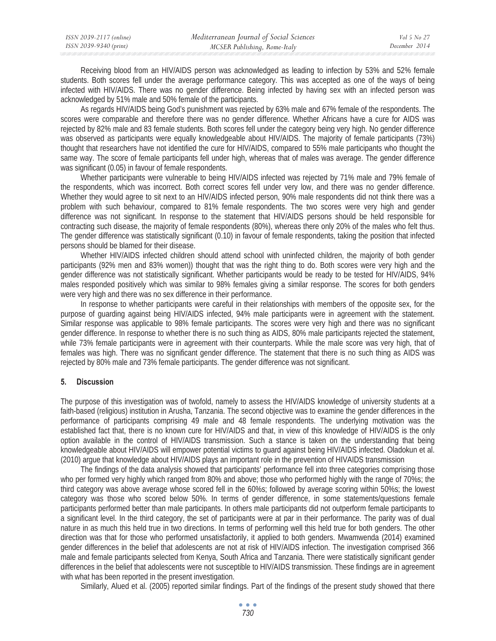| ISSN 2039-2117 (online) | Mediterranean Journal of Social Sciences | Vol 5 No 27   |
|-------------------------|------------------------------------------|---------------|
| ISSN 2039-9340 (print)  | MCSER Publishing, Rome-Italy             | December 2014 |
|                         |                                          |               |

Receiving blood from an HIV/AIDS person was acknowledged as leading to infection by 53% and 52% female students. Both scores fell under the average performance category. This was accepted as one of the ways of being infected with HIV/AIDS. There was no gender difference. Being infected by having sex with an infected person was acknowledged by 51% male and 50% female of the participants.

As regards HIV/AIDS being God's punishment was rejected by 63% male and 67% female of the respondents. The scores were comparable and therefore there was no gender difference. Whether Africans have a cure for AIDS was rejected by 82% male and 83 female students. Both scores fell under the category being very high. No gender difference was observed as participants were equally knowledgeable about HIV/AIDS. The majority of female participants (73%) thought that researchers have not identified the cure for HIV/AIDS, compared to 55% male participants who thought the same way. The score of female participants fell under high, whereas that of males was average. The gender difference was significant (0.05) in favour of female respondents.

Whether participants were vulnerable to being HIV/AIDS infected was rejected by 71% male and 79% female of the respondents, which was incorrect. Both correct scores fell under very low, and there was no gender difference. Whether they would agree to sit next to an HIV/AIDS infected person, 90% male respondents did not think there was a problem with such behaviour, compared to 81% female respondents. The two scores were very high and gender difference was not significant. In response to the statement that HIV/AIDS persons should be held responsible for contracting such disease, the majority of female respondents (80%), whereas there only 20% of the males who felt thus. The gender difference was statistically significant (0.10) in favour of female respondents, taking the position that infected persons should be blamed for their disease.

Whether HIV/AIDS infected children should attend school with uninfected children, the majority of both gender participants (92% men and 83% women)) thought that was the right thing to do. Both scores were very high and the gender difference was not statistically significant. Whether participants would be ready to be tested for HIV/AIDS, 94% males responded positively which was similar to 98% females giving a similar response. The scores for both genders were very high and there was no sex difference in their performance.

In response to whether participants were careful in their relationships with members of the opposite sex, for the purpose of guarding against being HIV/AIDS infected, 94% male participants were in agreement with the statement. Similar response was applicable to 98% female participants. The scores were very high and there was no significant gender difference. In response to whether there is no such thing as AIDS, 80% male participants rejected the statement, while 73% female participants were in agreement with their counterparts. While the male score was very high, that of females was high. There was no significant gender difference. The statement that there is no such thing as AIDS was rejected by 80% male and 73% female participants. The gender difference was not significant.

## **5. Discussion**

The purpose of this investigation was of twofold, namely to assess the HIV/AIDS knowledge of university students at a faith-based (religious) institution in Arusha, Tanzania. The second objective was to examine the gender differences in the performance of participants comprising 49 male and 48 female respondents. The underlying motivation was the established fact that, there is no known cure for HIV/AIDS and that, in view of this knowledge of HIV/AIDS is the only option available in the control of HIV/AIDS transmission. Such a stance is taken on the understanding that being knowledgeable about HIV/AIDS will empower potential victims to guard against being HIV/AIDS infected. Oladokun et al. (2010) argue that knowledge about HIV/AIDS plays an important role in the prevention of HIVAIDS transmission

The findings of the data analysis showed that participants' performance fell into three categories comprising those who per formed very highly which ranged from 80% and above; those who performed highly with the range of 70%s; the third category was above average whose scored fell in the 60%s; followed by average scoring within 50%s; the lowest category was those who scored below 50%. In terms of gender difference, in some statements/questions female participants performed better than male participants. In others male participants did not outperform female participants to a significant level. In the third category, the set of participants were at par in their performance. The parity was of dual nature in as much this held true in two directions. In terms of performing well this held true for both genders. The other direction was that for those who performed unsatisfactorily, it applied to both genders. Mwamwenda (2014) examined gender differences in the belief that adolescents are not at risk of HIV/AIDS infection. The investigation comprised 366 male and female participants selected from Kenya, South Africa and Tanzania. There were statistically significant gender differences in the belief that adolescents were not susceptible to HIV/AIDS transmission. These findings are in agreement with what has been reported in the present investigation.

Similarly, Alued et al. (2005) reported similar findings. Part of the findings of the present study showed that there